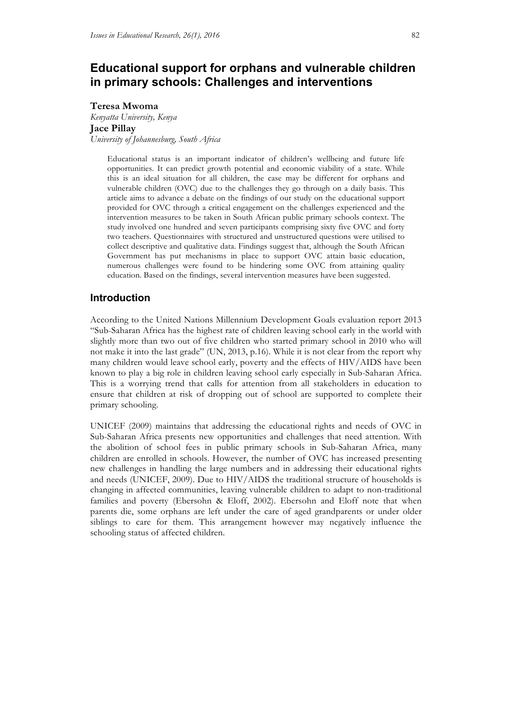# **Educational support for orphans and vulnerable children in primary schools: Challenges and interventions**

#### **Teresa Mwoma**

*Kenyatta University, Kenya*  **Jace Pillay** *University of Johannesburg, South Africa* 

> Educational status is an important indicator of children's wellbeing and future life opportunities. It can predict growth potential and economic viability of a state. While this is an ideal situation for all children, the case may be different for orphans and vulnerable children (OVC) due to the challenges they go through on a daily basis. This article aims to advance a debate on the findings of our study on the educational support provided for OVC through a critical engagement on the challenges experienced and the intervention measures to be taken in South African public primary schools context. The study involved one hundred and seven participants comprising sixty five OVC and forty two teachers. Questionnaires with structured and unstructured questions were utilised to collect descriptive and qualitative data. Findings suggest that, although the South African Government has put mechanisms in place to support OVC attain basic education, numerous challenges were found to be hindering some OVC from attaining quality education. Based on the findings, several intervention measures have been suggested.

### **Introduction**

According to the United Nations Millennium Development Goals evaluation report 2013 "Sub-Saharan Africa has the highest rate of children leaving school early in the world with slightly more than two out of five children who started primary school in 2010 who will not make it into the last grade" (UN, 2013, p.16). While it is not clear from the report why many children would leave school early, poverty and the effects of HIV/AIDS have been known to play a big role in children leaving school early especially in Sub-Saharan Africa. This is a worrying trend that calls for attention from all stakeholders in education to ensure that children at risk of dropping out of school are supported to complete their primary schooling.

UNICEF (2009) maintains that addressing the educational rights and needs of OVC in Sub-Saharan Africa presents new opportunities and challenges that need attention. With the abolition of school fees in public primary schools in Sub-Saharan Africa, many children are enrolled in schools. However, the number of OVC has increased presenting new challenges in handling the large numbers and in addressing their educational rights and needs (UNICEF, 2009). Due to HIV/AIDS the traditional structure of households is changing in affected communities, leaving vulnerable children to adapt to non-traditional families and poverty (Ebersohn & Eloff, 2002). Ebersohn and Eloff note that when parents die, some orphans are left under the care of aged grandparents or under older siblings to care for them. This arrangement however may negatively influence the schooling status of affected children.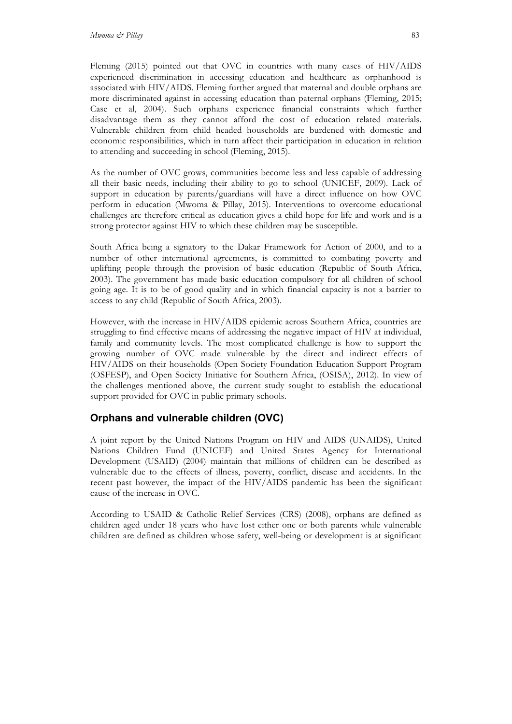Fleming (2015) pointed out that OVC in countries with many cases of HIV/AIDS experienced discrimination in accessing education and healthcare as orphanhood is associated with HIV/AIDS. Fleming further argued that maternal and double orphans are more discriminated against in accessing education than paternal orphans (Fleming, 2015; Case et al, 2004). Such orphans experience financial constraints which further disadvantage them as they cannot afford the cost of education related materials. Vulnerable children from child headed households are burdened with domestic and economic responsibilities, which in turn affect their participation in education in relation to attending and succeeding in school (Fleming, 2015).

As the number of OVC grows, communities become less and less capable of addressing all their basic needs, including their ability to go to school (UNICEF, 2009). Lack of support in education by parents/guardians will have a direct influence on how OVC perform in education (Mwoma & Pillay, 2015). Interventions to overcome educational challenges are therefore critical as education gives a child hope for life and work and is a strong protector against HIV to which these children may be susceptible.

South Africa being a signatory to the Dakar Framework for Action of 2000, and to a number of other international agreements, is committed to combating poverty and uplifting people through the provision of basic education (Republic of South Africa, 2003). The government has made basic education compulsory for all children of school going age. It is to be of good quality and in which financial capacity is not a barrier to access to any child (Republic of South Africa, 2003).

However, with the increase in HIV/AIDS epidemic across Southern Africa, countries are struggling to find effective means of addressing the negative impact of HIV at individual, family and community levels. The most complicated challenge is how to support the growing number of OVC made vulnerable by the direct and indirect effects of HIV/AIDS on their households (Open Society Foundation Education Support Program (OSFESP), and Open Society Initiative for Southern Africa, (OSISA), 2012). In view of the challenges mentioned above, the current study sought to establish the educational support provided for OVC in public primary schools.

## **Orphans and vulnerable children (OVC)**

A joint report by the United Nations Program on HIV and AIDS (UNAIDS), United Nations Children Fund (UNICEF) and United States Agency for International Development (USAID) (2004) maintain that millions of children can be described as vulnerable due to the effects of illness, poverty, conflict, disease and accidents. In the recent past however, the impact of the HIV/AIDS pandemic has been the significant cause of the increase in OVC.

According to USAID & Catholic Relief Services (CRS) (2008), orphans are defined as children aged under 18 years who have lost either one or both parents while vulnerable children are defined as children whose safety, well-being or development is at significant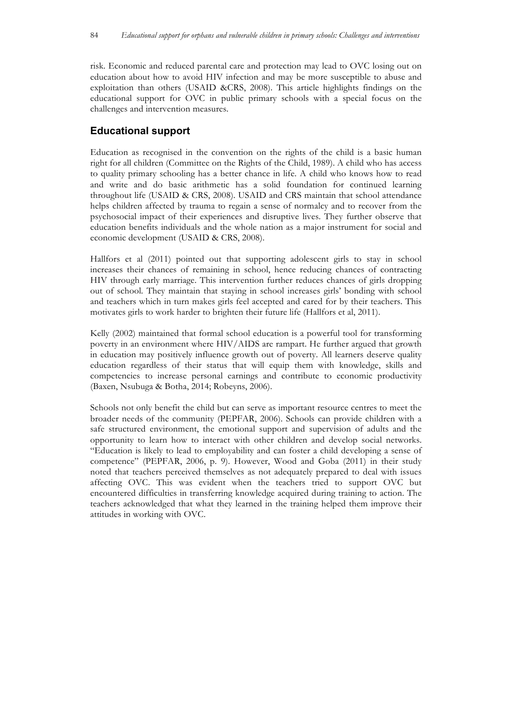risk. Economic and reduced parental care and protection may lead to OVC losing out on education about how to avoid HIV infection and may be more susceptible to abuse and exploitation than others (USAID &CRS, 2008). This article highlights findings on the educational support for OVC in public primary schools with a special focus on the challenges and intervention measures.

# **Educational support**

Education as recognised in the convention on the rights of the child is a basic human right for all children (Committee on the Rights of the Child, 1989). A child who has access to quality primary schooling has a better chance in life. A child who knows how to read and write and do basic arithmetic has a solid foundation for continued learning throughout life (USAID & CRS, 2008). USAID and CRS maintain that school attendance helps children affected by trauma to regain a sense of normalcy and to recover from the psychosocial impact of their experiences and disruptive lives. They further observe that education benefits individuals and the whole nation as a major instrument for social and economic development (USAID & CRS, 2008).

Hallfors et al (2011) pointed out that supporting adolescent girls to stay in school increases their chances of remaining in school, hence reducing chances of contracting HIV through early marriage. This intervention further reduces chances of girls dropping out of school. They maintain that staying in school increases girls' bonding with school and teachers which in turn makes girls feel accepted and cared for by their teachers. This motivates girls to work harder to brighten their future life (Hallfors et al, 2011).

Kelly (2002) maintained that formal school education is a powerful tool for transforming poverty in an environment where HIV/AIDS are rampart. He further argued that growth in education may positively influence growth out of poverty. All learners deserve quality education regardless of their status that will equip them with knowledge, skills and competencies to increase personal earnings and contribute to economic productivity (Baxen, Nsubuga & Botha, 2014; Robeyns, 2006).

Schools not only benefit the child but can serve as important resource centres to meet the broader needs of the community (PEPFAR, 2006). Schools can provide children with a safe structured environment, the emotional support and supervision of adults and the opportunity to learn how to interact with other children and develop social networks. "Education is likely to lead to employability and can foster a child developing a sense of competence" (PEPFAR, 2006, p. 9). However, Wood and Goba (2011) in their study noted that teachers perceived themselves as not adequately prepared to deal with issues affecting OVC. This was evident when the teachers tried to support OVC but encountered difficulties in transferring knowledge acquired during training to action. The teachers acknowledged that what they learned in the training helped them improve their attitudes in working with OVC.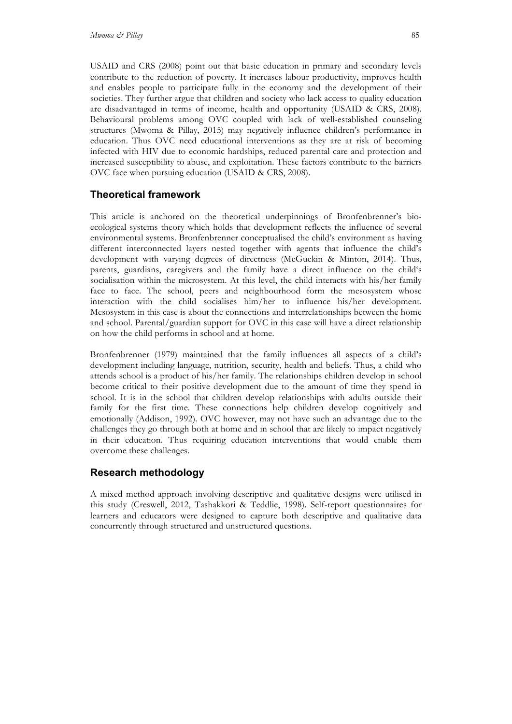USAID and CRS (2008) point out that basic education in primary and secondary levels contribute to the reduction of poverty. It increases labour productivity, improves health and enables people to participate fully in the economy and the development of their societies. They further argue that children and society who lack access to quality education are disadvantaged in terms of income, health and opportunity (USAID & CRS, 2008). Behavioural problems among OVC coupled with lack of well-established counseling structures (Mwoma & Pillay, 2015) may negatively influence children's performance in education. Thus OVC need educational interventions as they are at risk of becoming infected with HIV due to economic hardships, reduced parental care and protection and increased susceptibility to abuse, and exploitation. These factors contribute to the barriers OVC face when pursuing education (USAID & CRS, 2008).

## **Theoretical framework**

This article is anchored on the theoretical underpinnings of Bronfenbrenner's bioecological systems theory which holds that development reflects the influence of several environmental systems. Bronfenbrenner conceptualised the child's environment as having different interconnected layers nested together with agents that influence the child's development with varying degrees of directness (McGuckin & Minton, 2014). Thus, parents, guardians, caregivers and the family have a direct influence on the child's socialisation within the microsystem. At this level, the child interacts with his/her family face to face. The school, peers and neighbourhood form the mesosystem whose interaction with the child socialises him/her to influence his/her development. Mesosystem in this case is about the connections and interrelationships between the home and school. Parental/guardian support for OVC in this case will have a direct relationship on how the child performs in school and at home.

Bronfenbrenner (1979) maintained that the family influences all aspects of a child's development including language, nutrition, security, health and beliefs. Thus, a child who attends school is a product of his/her family. The relationships children develop in school become critical to their positive development due to the amount of time they spend in school. It is in the school that children develop relationships with adults outside their family for the first time. These connections help children develop cognitively and emotionally (Addison, 1992). OVC however, may not have such an advantage due to the challenges they go through both at home and in school that are likely to impact negatively in their education. Thus requiring education interventions that would enable them overcome these challenges.

## **Research methodology**

A mixed method approach involving descriptive and qualitative designs were utilised in this study (Creswell, 2012, Tashakkori & Teddlie, 1998). Self-report questionnaires for learners and educators were designed to capture both descriptive and qualitative data concurrently through structured and unstructured questions.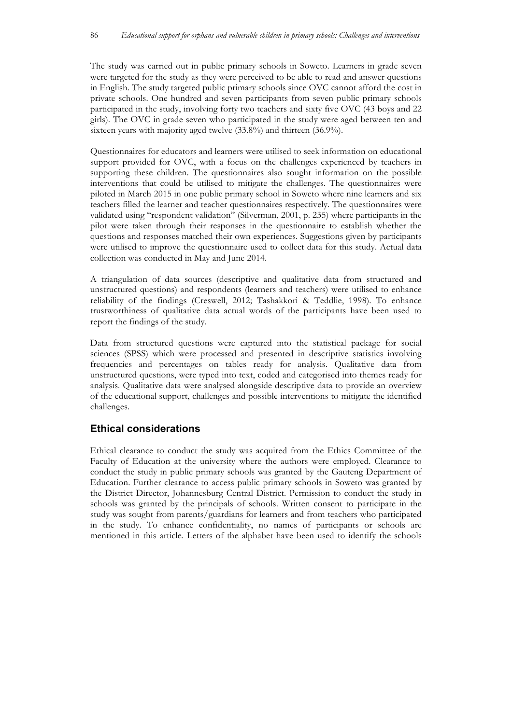The study was carried out in public primary schools in Soweto. Learners in grade seven were targeted for the study as they were perceived to be able to read and answer questions in English. The study targeted public primary schools since OVC cannot afford the cost in private schools. One hundred and seven participants from seven public primary schools participated in the study, involving forty two teachers and sixty five OVC (43 boys and 22 girls). The OVC in grade seven who participated in the study were aged between ten and sixteen years with majority aged twelve (33.8%) and thirteen (36.9%).

Questionnaires for educators and learners were utilised to seek information on educational support provided for OVC, with a focus on the challenges experienced by teachers in supporting these children. The questionnaires also sought information on the possible interventions that could be utilised to mitigate the challenges. The questionnaires were piloted in March 2015 in one public primary school in Soweto where nine learners and six teachers filled the learner and teacher questionnaires respectively. The questionnaires were validated using "respondent validation" (Silverman, 2001, p. 235) where participants in the pilot were taken through their responses in the questionnaire to establish whether the questions and responses matched their own experiences. Suggestions given by participants were utilised to improve the questionnaire used to collect data for this study. Actual data collection was conducted in May and June 2014.

A triangulation of data sources (descriptive and qualitative data from structured and unstructured questions) and respondents (learners and teachers) were utilised to enhance reliability of the findings (Creswell, 2012; Tashakkori & Teddlie, 1998). To enhance trustworthiness of qualitative data actual words of the participants have been used to report the findings of the study.

Data from structured questions were captured into the statistical package for social sciences (SPSS) which were processed and presented in descriptive statistics involving frequencies and percentages on tables ready for analysis. Qualitative data from unstructured questions, were typed into text, coded and categorised into themes ready for analysis. Qualitative data were analysed alongside descriptive data to provide an overview of the educational support, challenges and possible interventions to mitigate the identified challenges.

# **Ethical considerations**

Ethical clearance to conduct the study was acquired from the Ethics Committee of the Faculty of Education at the university where the authors were employed. Clearance to conduct the study in public primary schools was granted by the Gauteng Department of Education. Further clearance to access public primary schools in Soweto was granted by the District Director, Johannesburg Central District. Permission to conduct the study in schools was granted by the principals of schools. Written consent to participate in the study was sought from parents/guardians for learners and from teachers who participated in the study. To enhance confidentiality, no names of participants or schools are mentioned in this article. Letters of the alphabet have been used to identify the schools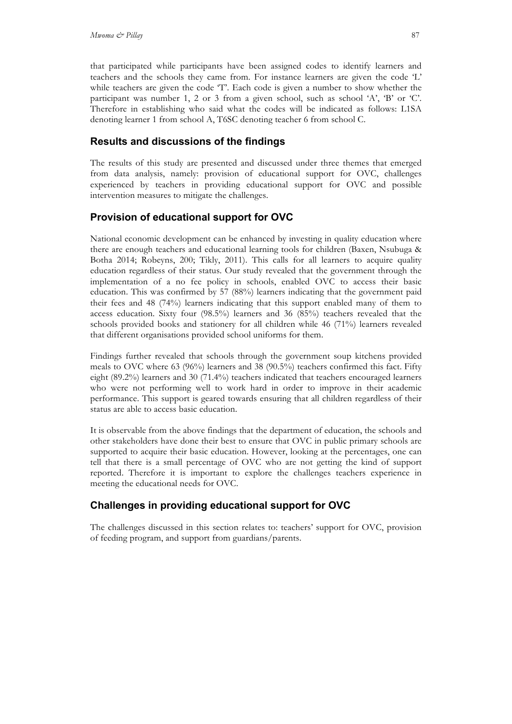that participated while participants have been assigned codes to identify learners and teachers and the schools they came from. For instance learners are given the code 'L' while teachers are given the code 'T'. Each code is given a number to show whether the participant was number 1, 2 or 3 from a given school, such as school 'A', 'B' or 'C'. Therefore in establishing who said what the codes will be indicated as follows: L1SA denoting learner 1 from school A, T6SC denoting teacher 6 from school C.

## **Results and discussions of the findings**

The results of this study are presented and discussed under three themes that emerged from data analysis, namely: provision of educational support for OVC, challenges experienced by teachers in providing educational support for OVC and possible intervention measures to mitigate the challenges.

# **Provision of educational support for OVC**

National economic development can be enhanced by investing in quality education where there are enough teachers and educational learning tools for children (Baxen, Nsubuga & Botha 2014; Robeyns, 200; Tikly, 2011). This calls for all learners to acquire quality education regardless of their status. Our study revealed that the government through the implementation of a no fee policy in schools, enabled OVC to access their basic education. This was confirmed by 57 (88%) learners indicating that the government paid their fees and 48 (74%) learners indicating that this support enabled many of them to access education. Sixty four (98.5%) learners and 36 (85%) teachers revealed that the schools provided books and stationery for all children while 46 (71%) learners revealed that different organisations provided school uniforms for them.

Findings further revealed that schools through the government soup kitchens provided meals to OVC where 63 (96%) learners and 38 (90.5%) teachers confirmed this fact. Fifty eight (89.2%) learners and 30 (71.4%) teachers indicated that teachers encouraged learners who were not performing well to work hard in order to improve in their academic performance. This support is geared towards ensuring that all children regardless of their status are able to access basic education.

It is observable from the above findings that the department of education, the schools and other stakeholders have done their best to ensure that OVC in public primary schools are supported to acquire their basic education. However, looking at the percentages, one can tell that there is a small percentage of OVC who are not getting the kind of support reported. Therefore it is important to explore the challenges teachers experience in meeting the educational needs for OVC.

# **Challenges in providing educational support for OVC**

The challenges discussed in this section relates to: teachers' support for OVC, provision of feeding program, and support from guardians/parents.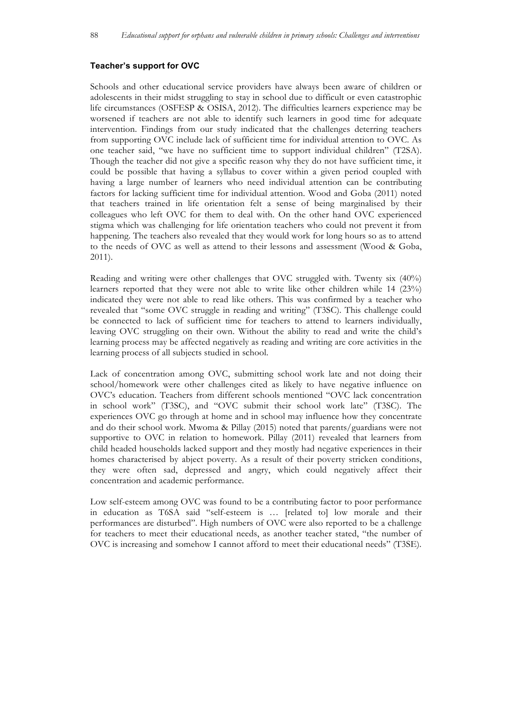#### **Teacher's support for OVC**

Schools and other educational service providers have always been aware of children or adolescents in their midst struggling to stay in school due to difficult or even catastrophic life circumstances (OSFESP & OSISA, 2012). The difficulties learners experience may be worsened if teachers are not able to identify such learners in good time for adequate intervention. Findings from our study indicated that the challenges deterring teachers from supporting OVC include lack of sufficient time for individual attention to OVC. As one teacher said, "we have no sufficient time to support individual children" (T2SA). Though the teacher did not give a specific reason why they do not have sufficient time, it could be possible that having a syllabus to cover within a given period coupled with having a large number of learners who need individual attention can be contributing factors for lacking sufficient time for individual attention. Wood and Goba (2011) noted that teachers trained in life orientation felt a sense of being marginalised by their colleagues who left OVC for them to deal with. On the other hand OVC experienced stigma which was challenging for life orientation teachers who could not prevent it from happening. The teachers also revealed that they would work for long hours so as to attend to the needs of OVC as well as attend to their lessons and assessment (Wood & Goba, 2011).

Reading and writing were other challenges that OVC struggled with. Twenty six (40%) learners reported that they were not able to write like other children while 14 (23%) indicated they were not able to read like others. This was confirmed by a teacher who revealed that "some OVC struggle in reading and writing" (T3SC). This challenge could be connected to lack of sufficient time for teachers to attend to learners individually, leaving OVC struggling on their own. Without the ability to read and write the child's learning process may be affected negatively as reading and writing are core activities in the learning process of all subjects studied in school.

Lack of concentration among OVC, submitting school work late and not doing their school/homework were other challenges cited as likely to have negative influence on OVC's education. Teachers from different schools mentioned "OVC lack concentration in school work" (T3SC), and "OVC submit their school work late" (T3SC). The experiences OVC go through at home and in school may influence how they concentrate and do their school work. Mwoma & Pillay (2015) noted that parents/guardians were not supportive to OVC in relation to homework. Pillay (2011) revealed that learners from child headed households lacked support and they mostly had negative experiences in their homes characterised by abject poverty. As a result of their poverty stricken conditions, they were often sad, depressed and angry, which could negatively affect their concentration and academic performance.

Low self-esteem among OVC was found to be a contributing factor to poor performance in education as T6SA said "self-esteem is … [related to] low morale and their performances are disturbed". High numbers of OVC were also reported to be a challenge for teachers to meet their educational needs, as another teacher stated, "the number of OVC is increasing and somehow I cannot afford to meet their educational needs" (T3SE).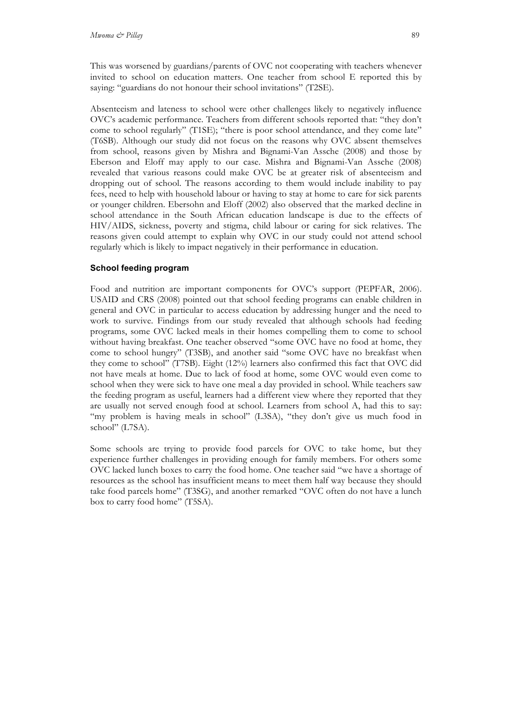This was worsened by guardians/parents of OVC not cooperating with teachers whenever invited to school on education matters. One teacher from school E reported this by saying: "guardians do not honour their school invitations" (T2SE).

Absenteeism and lateness to school were other challenges likely to negatively influence OVC's academic performance. Teachers from different schools reported that: "they don't come to school regularly" (T1SE); "there is poor school attendance, and they come late" (T6SB). Although our study did not focus on the reasons why OVC absent themselves from school, reasons given by Mishra and Bignami-Van Assche (2008) and those by Eberson and Eloff may apply to our case. Mishra and Bignami-Van Assche (2008) revealed that various reasons could make OVC be at greater risk of absenteeism and dropping out of school. The reasons according to them would include inability to pay fees, need to help with household labour or having to stay at home to care for sick parents or younger children. Ebersohn and Eloff (2002) also observed that the marked decline in school attendance in the South African education landscape is due to the effects of HIV/AIDS, sickness, poverty and stigma, child labour or caring for sick relatives. The reasons given could attempt to explain why OVC in our study could not attend school regularly which is likely to impact negatively in their performance in education.

### **School feeding program**

Food and nutrition are important components for OVC's support (PEPFAR, 2006). USAID and CRS (2008) pointed out that school feeding programs can enable children in general and OVC in particular to access education by addressing hunger and the need to work to survive. Findings from our study revealed that although schools had feeding programs, some OVC lacked meals in their homes compelling them to come to school without having breakfast. One teacher observed "some OVC have no food at home, they come to school hungry" (T3SB), and another said "some OVC have no breakfast when they come to school" (T7SB). Eight (12%) learners also confirmed this fact that OVC did not have meals at home. Due to lack of food at home, some OVC would even come to school when they were sick to have one meal a day provided in school. While teachers saw the feeding program as useful, learners had a different view where they reported that they are usually not served enough food at school. Learners from school A, had this to say: "my problem is having meals in school" (L3SA), "they don't give us much food in school" (L7SA).

Some schools are trying to provide food parcels for OVC to take home, but they experience further challenges in providing enough for family members. For others some OVC lacked lunch boxes to carry the food home. One teacher said "we have a shortage of resources as the school has insufficient means to meet them half way because they should take food parcels home" (T3SG), and another remarked "OVC often do not have a lunch box to carry food home" (T5SA).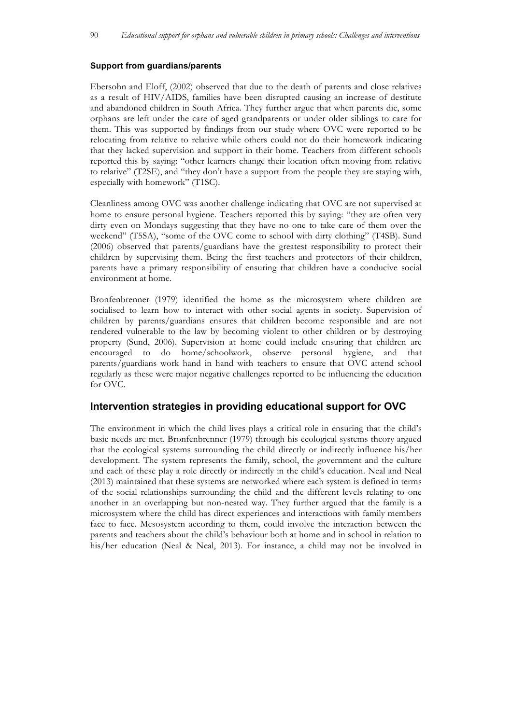#### **Support from guardians/parents**

Ebersohn and Eloff, (2002) observed that due to the death of parents and close relatives as a result of HIV/AIDS, families have been disrupted causing an increase of destitute and abandoned children in South Africa. They further argue that when parents die, some orphans are left under the care of aged grandparents or under older siblings to care for them. This was supported by findings from our study where OVC were reported to be relocating from relative to relative while others could not do their homework indicating that they lacked supervision and support in their home. Teachers from different schools reported this by saying: "other learners change their location often moving from relative to relative" (T2SE), and "they don't have a support from the people they are staying with, especially with homework" (T1SC).

Cleanliness among OVC was another challenge indicating that OVC are not supervised at home to ensure personal hygiene. Teachers reported this by saying: "they are often very dirty even on Mondays suggesting that they have no one to take care of them over the weekend" (T5SA), "some of the OVC come to school with dirty clothing" (T4SB). Sund (2006) observed that parents/guardians have the greatest responsibility to protect their children by supervising them. Being the first teachers and protectors of their children, parents have a primary responsibility of ensuring that children have a conducive social environment at home.

Bronfenbrenner (1979) identified the home as the microsystem where children are socialised to learn how to interact with other social agents in society. Supervision of children by parents/guardians ensures that children become responsible and are not rendered vulnerable to the law by becoming violent to other children or by destroying property (Sund, 2006). Supervision at home could include ensuring that children are encouraged to do home/schoolwork, observe personal hygiene, and that parents/guardians work hand in hand with teachers to ensure that OVC attend school regularly as these were major negative challenges reported to be influencing the education for OVC.

### **Intervention strategies in providing educational support for OVC**

The environment in which the child lives plays a critical role in ensuring that the child's basic needs are met. Bronfenbrenner (1979) through his ecological systems theory argued that the ecological systems surrounding the child directly or indirectly influence his/her development. The system represents the family, school, the government and the culture and each of these play a role directly or indirectly in the child's education. Neal and Neal (2013) maintained that these systems are networked where each system is defined in terms of the social relationships surrounding the child and the different levels relating to one another in an overlapping but non-nested way. They further argued that the family is a microsystem where the child has direct experiences and interactions with family members face to face. Mesosystem according to them, could involve the interaction between the parents and teachers about the child's behaviour both at home and in school in relation to his/her education (Neal & Neal, 2013). For instance, a child may not be involved in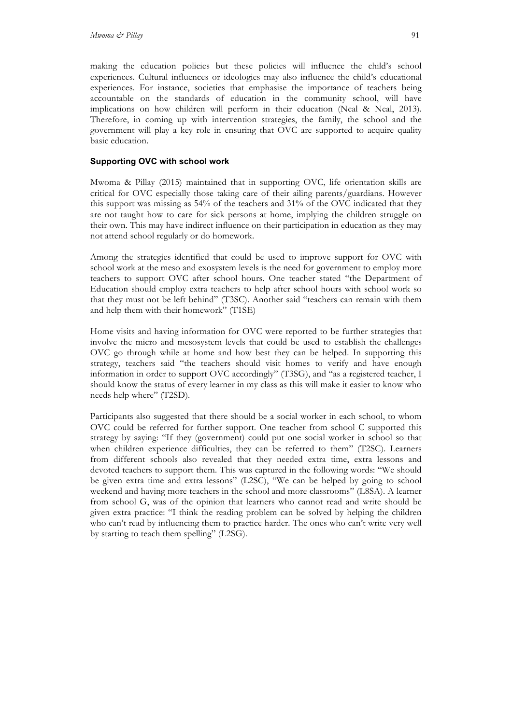making the education policies but these policies will influence the child's school experiences. Cultural influences or ideologies may also influence the child's educational experiences. For instance, societies that emphasise the importance of teachers being accountable on the standards of education in the community school, will have implications on how children will perform in their education (Neal & Neal, 2013). Therefore, in coming up with intervention strategies, the family, the school and the government will play a key role in ensuring that OVC are supported to acquire quality basic education.

### **Supporting OVC with school work**

Mwoma & Pillay (2015) maintained that in supporting OVC, life orientation skills are critical for OVC especially those taking care of their ailing parents/guardians. However this support was missing as 54% of the teachers and 31% of the OVC indicated that they are not taught how to care for sick persons at home, implying the children struggle on their own. This may have indirect influence on their participation in education as they may not attend school regularly or do homework.

Among the strategies identified that could be used to improve support for OVC with school work at the meso and exosystem levels is the need for government to employ more teachers to support OVC after school hours. One teacher stated "the Department of Education should employ extra teachers to help after school hours with school work so that they must not be left behind" (T3SC). Another said "teachers can remain with them and help them with their homework" (T1SE)

Home visits and having information for OVC were reported to be further strategies that involve the micro and mesosystem levels that could be used to establish the challenges OVC go through while at home and how best they can be helped. In supporting this strategy, teachers said "the teachers should visit homes to verify and have enough information in order to support OVC accordingly" (T3SG), and "as a registered teacher, I should know the status of every learner in my class as this will make it easier to know who needs help where" (T2SD).

Participants also suggested that there should be a social worker in each school, to whom OVC could be referred for further support. One teacher from school C supported this strategy by saying: "If they (government) could put one social worker in school so that when children experience difficulties, they can be referred to them" (T2SC). Learners from different schools also revealed that they needed extra time, extra lessons and devoted teachers to support them. This was captured in the following words: "We should be given extra time and extra lessons" (L2SC), "We can be helped by going to school weekend and having more teachers in the school and more classrooms" (L8SA). A learner from school G, was of the opinion that learners who cannot read and write should be given extra practice: "I think the reading problem can be solved by helping the children who can't read by influencing them to practice harder. The ones who can't write very well by starting to teach them spelling" (L2SG).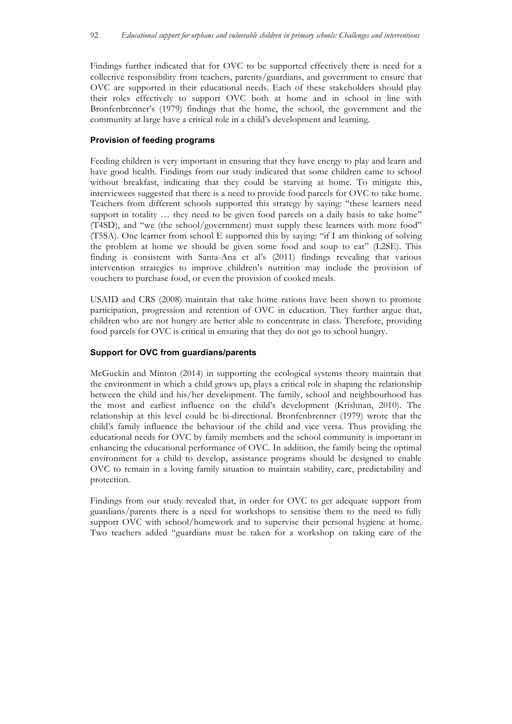Findings further indicated that for OVC to be supported effectively there is need for a collective responsibility from teachers, parents/guardians, and government to ensure that OVC are supported in their educational needs. Each of these stakeholders should play their roles effectively to support OVC both at home and in school in line with Bronfenbrenner's (1979) findings that the home, the school, the government and the community at large have a critical role in a child's development and learning.

#### **Provision of feeding programs**

Feeding children is very important in ensuring that they have energy to play and learn and have good health. Findings from our study indicated that some children came to school without breakfast, indicating that they could be starving at home. To mitigate this, interviewees suggested that there is a need to provide food parcels for OVC to take home. Teachers from different schools supported this strategy by saying: "these learners need support in totality ... they need to be given food parcels on a daily basis to take home" (T4SD), and "we (the school/government) must supply these learners with more food" (T5SA). One learner from school E supported this by saying: "if I am thinking of solving the problem at home we should be given some food and soup to eat" (L2SE). This finding is consistent with Santa-Ana et al's (2011) findings revealing that various intervention strategies to improve children's nutrition may include the provision of vouchers to purchase food, or even the provision of cooked meals.

USAID and CRS (2008) maintain that take home rations have been shown to promote participation, progression and retention of OVC in education. They further argue that, children who are not hungry are better able to concentrate in class. Therefore, providing food parcels for OVC is critical in ensuring that they do not go to school hungry.

#### **Support for OVC from guardians/parents**

McGuckin and Minton (2014) in supporting the ecological systems theory maintain that the environment in which a child grows up, plays a critical role in shaping the relationship between the child and his/her development. The family, school and neighbourhood has the most and earliest influence on the child's development (Krishnan, 2010). The relationship at this level could be bi-directional. Bronfenbrenner (1979) wrote that the child's family influence the behaviour of the child and vice versa. Thus providing the educational needs for OVC by family members and the school community is important in enhancing the educational performance of OVC. In addition, the family being the optimal environment for a child to develop, assistance programs should be designed to enable OVC to remain in a loving family situation to maintain stability, care, predictability and protection.

Findings from our study revealed that, in order for OVC to get adequate support from guardians/parents there is a need for workshops to sensitise them to the need to fully support OVC with school/homework and to supervise their personal hygiene at home. Two teachers added "guardians must be taken for a workshop on taking care of the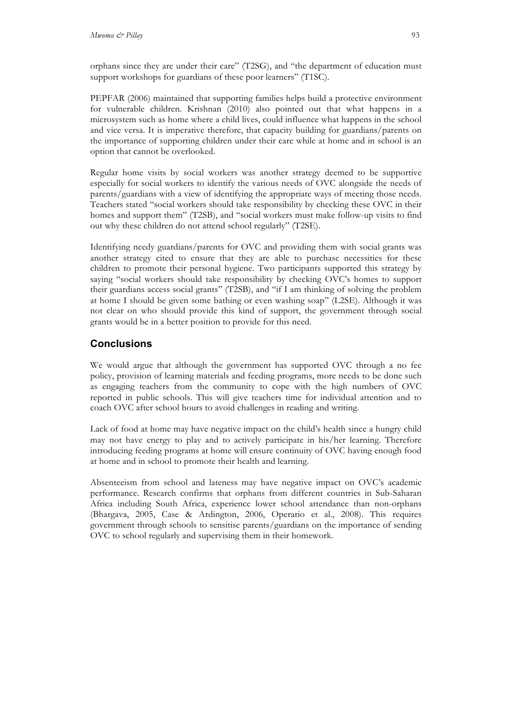orphans since they are under their care" (T2SG), and "the department of education must support workshops for guardians of these poor learners" (T1SC).

PEPFAR (2006) maintained that supporting families helps build a protective environment for vulnerable children. Krishnan (2010) also pointed out that what happens in a microsystem such as home where a child lives, could influence what happens in the school and vice versa. It is imperative therefore, that capacity building for guardians/parents on the importance of supporting children under their care while at home and in school is an option that cannot be overlooked.

Regular home visits by social workers was another strategy deemed to be supportive especially for social workers to identify the various needs of OVC alongside the needs of parents/guardians with a view of identifying the appropriate ways of meeting those needs. Teachers stated "social workers should take responsibility by checking these OVC in their homes and support them" (T2SB), and "social workers must make follow-up visits to find out why these children do not attend school regularly" (T2SE).

Identifying needy guardians/parents for OVC and providing them with social grants was another strategy cited to ensure that they are able to purchase necessities for these children to promote their personal hygiene. Two participants supported this strategy by saying "social workers should take responsibility by checking OVC's homes to support their guardians access social grants" (T2SB), and "if I am thinking of solving the problem at home I should be given some bathing or even washing soap" (L2SE). Although it was not clear on who should provide this kind of support, the government through social grants would be in a better position to provide for this need.

## **Conclusions**

We would argue that although the government has supported OVC through a no fee policy, provision of learning materials and feeding programs, more needs to be done such as engaging teachers from the community to cope with the high numbers of OVC reported in public schools. This will give teachers time for individual attention and to coach OVC after school hours to avoid challenges in reading and writing.

Lack of food at home may have negative impact on the child's health since a hungry child may not have energy to play and to actively participate in his/her learning. Therefore introducing feeding programs at home will ensure continuity of OVC having enough food at home and in school to promote their health and learning.

Absenteeism from school and lateness may have negative impact on OVC's academic performance. Research confirms that orphans from different countries in Sub-Saharan Africa including South Africa, experience lower school attendance than non-orphans (Bhargava, 2005, Case & Ardington, 2006, Operario et al., 2008). This requires government through schools to sensitise parents/guardians on the importance of sending OVC to school regularly and supervising them in their homework.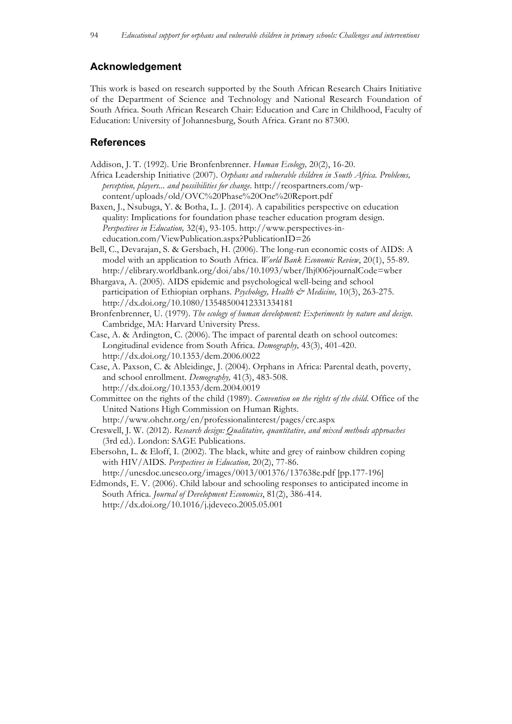## **Acknowledgement**

This work is based on research supported by the South African Research Chairs Initiative of the Department of Science and Technology and National Research Foundation of South Africa. South African Research Chair: Education and Care in Childhood, Faculty of Education: University of Johannesburg, South Africa. Grant no 87300.

### **References**

Addison, J. T. (1992). Urie Bronfenbrenner. *Human Ecology,* 20(2), 16-20.

- Africa Leadership Initiative (2007). *Orphans and vulnerable children in South Africa. Problems, perception, players... and possibilities for change*. http://reospartners.com/wpcontent/uploads/old/OVC%20Phase%20One%20Report.pdf
- Baxen, J., Nsubuga, Y. & Botha, L. J. (2014). A capabilities perspective on education quality: Implications for foundation phase teacher education program design. *Perspectives in Education,* 32(4), 93-105. http://www.perspectives-ineducation.com/ViewPublication.aspx?PublicationID=26
- Bell, C., Devarajan, S. & Gersbach, H. (2006). The long-run economic costs of AIDS: A model with an application to South Africa. *World Bank Economic Review*, 20(1), 55-89. http://elibrary.worldbank.org/doi/abs/10.1093/wber/lhj006?journalCode=wber

Bhargava, A. (2005). AIDS epidemic and psychological well-being and school participation of Ethiopian orphans. *Psychology, Health & Medicine*, 10(3), 263-275. http://dx.doi.org/10.1080/13548500412331334181

Bronfenbrenner, U. (1979). *The ecology of human development: Experiments by nature and design*. Cambridge, MA: Harvard University Press.

- Case, A. & Ardington, C. (2006). The impact of parental death on school outcomes: Longitudinal evidence from South Africa. *Demography,* 43(3), 401-420. http://dx.doi.org/10.1353/dem.2006.0022
- Case, A. Paxson, C. & Ableidinge, J. (2004). Orphans in Africa: Parental death, poverty, and school enrollment. *Demography,* 41(3), 483-508. http://dx.doi.org/10.1353/dem.2004.0019

Committee on the rights of the child (1989). *Convention on the rights of the child*. Office of the United Nations High Commission on Human Rights.

http://www.ohchr.org/en/professionalinterest/pages/crc.aspx

- Creswell, J. W. (2012). *Research design: Qualitative, quantitative, and mixed methods approaches* (3rd ed.). London: SAGE Publications.
- Ebersohn, L. & Eloff, I. (2002). The black, white and grey of rainbow children coping with HIV/AIDS. *Perspectives in Education,* 20(2), 77-86.

http://unesdoc.unesco.org/images/0013/001376/137638e.pdf [pp.177-196]

Edmonds, E. V. (2006). Child labour and schooling responses to anticipated income in South Africa. *Journal of Development Economics*, 81(2), 386-414. http://dx.doi.org/10.1016/j.jdeveco.2005.05.001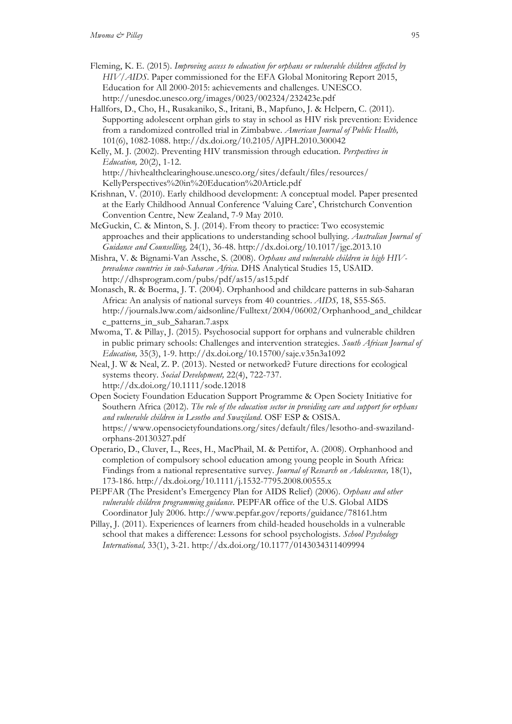- Fleming, K. E. (2015). *Improving access to education for orphans or vulnerable children affected by HIV/AIDS*. Paper commissioned for the EFA Global Monitoring Report 2015, Education for All 2000-2015: achievements and challenges. UNESCO. http://unesdoc.unesco.org/images/0023/002324/232423e.pdf
- Hallfors, D., Cho, H., Rusakaniko, S., Iritani, B., Mapfuno, J. & Helpern, C. (2011). Supporting adolescent orphan girls to stay in school as HIV risk prevention: Evidence from a randomized controlled trial in Zimbabwe. *American Journal of Public Health,*  101(6), 1082-1088. http://dx.doi.org/10.2105/AJPH.2010.300042
- Kelly, M. J. (2002). Preventing HIV transmission through education. *Perspectives in Education,* 20(2), 1-12. http://hivhealthclearinghouse.unesco.org/sites/default/files/resources/ KellyPerspectives%20in%20Education%20Article.pdf
- Krishnan, V. (2010). Early childhood development: A conceptual model. Paper presented at the Early Childhood Annual Conference 'Valuing Care', Christchurch Convention Convention Centre, New Zealand, 7-9 May 2010.
- McGuckin, C. & Minton, S. J. (2014). From theory to practice: Two ecosystemic approaches and their applications to understanding school bullying. *Australian Journal of Guidance and Counselling,* 24(1), 36-48. http://dx.doi.org/10.1017/jgc.2013.10
- Mishra, V. & Bignami-Van Assche, S. (2008). *Orphans and vulnerable children in high HIVprevalence countries in sub-Saharan Africa*. DHS Analytical Studies 15, USAID. http://dhsprogram.com/pubs/pdf/as15/as15.pdf
- Monasch, R. & Boerma, J. T. (2004). Orphanhood and childcare patterns in sub-Saharan Africa: An analysis of national surveys from 40 countries. *AIDS,* 18, S55-S65. http://journals.lww.com/aidsonline/Fulltext/2004/06002/Orphanhood\_and\_childcar e\_patterns\_in\_sub\_Saharan.7.aspx
- Mwoma, T. & Pillay, J. (2015). Psychosocial support for orphans and vulnerable children in public primary schools: Challenges and intervention strategies. *South African Journal of Education,* 35(3), 1-9. http://dx.doi.org/10.15700/saje.v35n3a1092
- Neal, J. W & Neal, Z. P. (2013). Nested or networked? Future directions for ecological systems theory. *Social Development,* 22(4), 722-737. http://dx.doi.org/10.1111/sode.12018
- Open Society Foundation Education Support Programme & Open Society Initiative for Southern Africa (2012). *The role of the education sector in providing care and support for orphans and vulnerable children in Lesotho and Swaziland*. OSF ESP & OSISA. https://www.opensocietyfoundations.org/sites/default/files/lesotho-and-swazilandorphans-20130327.pdf
- Operario, D., Cluver, L., Rees, H., MacPhail, M. & Pettifor, A. (2008). Orphanhood and completion of compulsory school education among young people in South Africa: Findings from a national representative survey. *Journal of Research on Adolescence,* 18(1), 173-186. http://dx.doi.org/10.1111/j.1532-7795.2008.00555.x
- PEPFAR (The President's Emergency Plan for AIDS Relief) (2006). *Orphans and other vulnerable children programming guidance*. PEPFAR office of the U.S. Global AIDS Coordinator July 2006. http://www.pepfar.gov/reports/guidance/78161.htm
- Pillay, J. (2011). Experiences of learners from child-headed households in a vulnerable school that makes a difference: Lessons for school psychologists. *School Psychology International,* 33(1), 3-21. http://dx.doi.org/10.1177/0143034311409994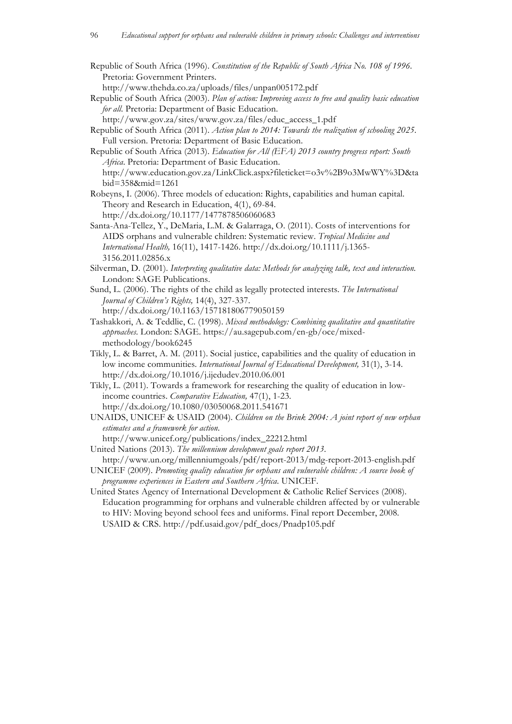Republic of South Africa (1996). *Constitution of the Republic of South Africa No. 108 of 1996*. Pretoria: Government Printers.

http://www.thehda.co.za/uploads/files/unpan005172.pdf

Republic of South Africa (2003). *Plan of action: Improving access to free and quality basic education for all*. Pretoria: Department of Basic Education.

http://www.gov.za/sites/www.gov.za/files/educ\_access\_1.pdf

- Republic of South Africa (2011). *Action plan to 2014: Towards the realization of schooling 2025*. Full version. Pretoria: Department of Basic Education.
- Republic of South Africa (2013). *Education for All (EFA) 2013 country progress report: South Africa*. Pretoria: Department of Basic Education. http://www.education.gov.za/LinkClick.aspx?fileticket=o3v%2B9o3MwWY%3D&ta bid=358&mid=1261
- Robeyns, I. (2006). Three models of education: Rights, capabilities and human capital. Theory and Research in Education, 4(1), 69-84. http://dx.doi.org/10.1177/1477878506060683
- Santa-Ana-Tellez, Y., DeMaria, L.M. & Galarraga, O. (2011). Costs of interventions for AIDS orphans and vulnerable children: Systematic review. *Tropical Medicine and International Health,* 16(11), 1417-1426. http://dx.doi.org/10.1111/j.1365- 3156.2011.02856.x
- Silverman, D. (2001). *Interpreting qualitative data: Methods for analyzing talk, text and interaction.* London: SAGE Publications.
- Sund, L. (2006). The rights of the child as legally protected interests. *The International Journal of Children's Rights,* 14(4), 327-337. http://dx.doi.org/10.1163/157181806779050159
- Tashakkori, A. & Teddlie, C. (1998). *Mixed methodology: Combining qualitative and quantitative approaches*. London: SAGE. https://au.sagepub.com/en-gb/oce/mixedmethodology/book6245
- Tikly, L. & Barret, A. M. (2011). Social justice, capabilities and the quality of education in low income communities. *International Journal of Educational Development*, 31(1), 3-14. http://dx.doi.org/10.1016/j.ijedudev.2010.06.001
- Tikly, L. (2011). Towards a framework for researching the quality of education in lowincome countries. *Comparative Education,* 47(1), 1-23. http://dx.doi.org/10.1080/03050068.2011.541671
- UNAIDS, UNICEF & USAID (2004). *Children on the Brink 2004: A joint report of new orphan estimates and a framework for action*.
- http://www.unicef.org/publications/index\_22212.html United Nations (2013). *The millennium development goals report 2013*.
- http://www.un.org/millenniumgoals/pdf/report-2013/mdg-report-2013-english.pdf UNICEF (2009). *Promoting quality education for orphans and vulnerable children: A source book of*
- *programme experiences in Eastern and Southern Africa*. UNICEF.
- United States Agency of International Development & Catholic Relief Services (2008). Education programming for orphans and vulnerable children affected by or vulnerable to HIV: Moving beyond school fees and uniforms. Final report December, 2008. USAID & CRS. http://pdf.usaid.gov/pdf\_docs/Pnadp105.pdf